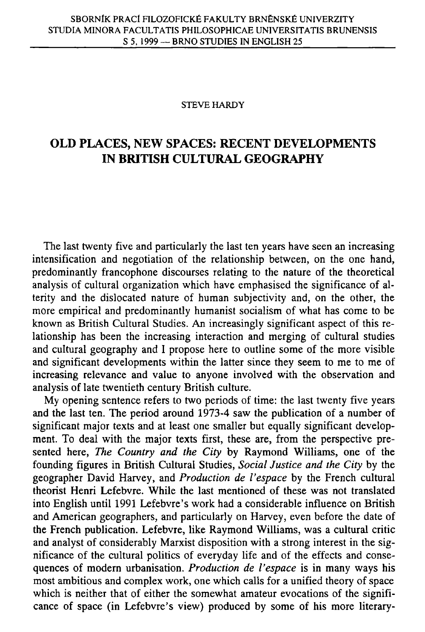# **OLD PLACES, NEW SPACES: RECENT DEVELOPMENTS IN BRITISH CULTURAL GEOGRAPHY**

The last twenty five and particularly the last ten years have seen an increasing intensification and negotiation of the relationship between, on the one hand, predominantly francophone discourses relating to the nature of the theoretical analysis of cultural organization which have emphasised the significance of alterity and the dislocated nature of human subjectivity and, on the other, the more empirical and predominantly humanist socialism of what has come to be known as British Cultural Studies. An increasingly significant aspect of this relationship has been the increasing interaction and merging of cultural studies and cultural geography and I propose here to outline some of the more visible and significant developments within the latter since they seem to me to me of increasing relevance and value to anyone involved with the observation and analysis of late twentieth century British culture.

My opening sentence refers to two periods of time: the last twenty five years and the last ten. The period around  $1973-4$  saw the publication of a number of significant major texts and at least one smaller but equally significant development. To deal with the major texts first, these are, from the perspective presented here, *The Country and the City* by Raymond Williams, one of the founding figures in British Cultural Studies, *Social Justice and the City* by the geographer David Harvey, and *Production de I'espace* by the French cultural theorist Henri Lefebvre. While the last mentioned of these was not translated into English until 1991 Lefebvre's work had a considerable influence on British and American geographers, and particularly on Harvey, even before the date of the French publication. Lefebvre, like Raymond Williams, was a cultural critic and analyst of considerably Marxist disposition with a strong interest in the significance of the cultural politics of everyday life and of the effects and consequences of modern urbanisation. *Production de I'espace* is in many ways his most ambitious and complex work, one which calls for a unified theory of space which is neither that of either the somewhat amateur evocations of the significance of space (in Lefebvre's view) produced by some of his more literary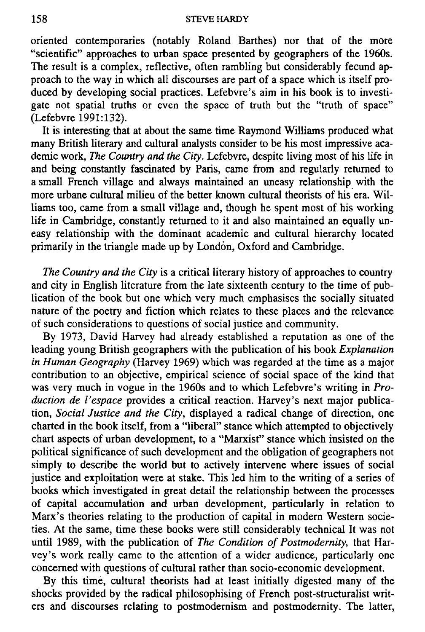oriented contemporaries (notably Roland Barthes) nor that of the more "scientific" approaches to urban space presented by geographers of the 1960s. The result is a complex, reflective, often rambling but considerably fecund approach to the way in which all discourses are part of a space which is itself produced by developing social practices. Lefebvre's aim in his book is to investigate not spatial truths or even the space of truth but the "truth of space" (Lefebvre 1991:132).

It is interesting that at about the same time Raymond Williams produced what many British literary and cultural analysts consider to be his most impressive academic work, *The Country and the City.* Lefebvre, despite living most of his life in and being constantly fascinated by Paris, came from and regularly returned to a small French village and always maintained an uneasy relationship with the more urbane cultural milieu of the better known cultural theorists of his era. Williams too, came from a small village and, though he spent most of his working life in Cambridge, constantly returned to it and also maintained an equally uneasy relationship with the dominant academic and cultural hierarchy located primarily in the triangle made up by London, Oxford and Cambridge.

*The Country and the City* is a critical literary history of approaches to country and city in English literature from the late sixteenth century to the time of publication of the book but one which very much emphasises the socially situated nature of the poetry and fiction which relates to these places and the relevance of such considerations to questions of social justice and community.

By 1973, David Harvey had already established a reputation as one of the leading young British geographers with the publication of his book *Explanation in Human Geography* (Harvey 1969) which was regarded at the time as a major contribution to an objective, empirical science of social space of the kind that was very much in vogue in the 1960s and to which Lefebvre's writing in *Production de Vespace* provides a critical reaction. Harvey's next major publication, *Social Justice and the City,* displayed a radical change of direction, one charted in the book itself, from a "liberal" stance which attempted to objectively chart aspects of urban development, to a "Marxist" stance which insisted on the political significance of such development and the obligation of geographers not simply to describe the world but to actively intervene where issues of social justice and exploitation were at stake. This led him to the writing of a series of books which investigated in great detail the relationship between the processes of capital accumulation and urban development, particularly in relation to Marx's theories relating to the production of capital in modern Western societies. At the same, time these books were still considerably technical It was not until 1989, with the publication of *The Condition of Postmodernity,* that Harvey's work really came to the attention of a wider audience, particularly one concerned with questions of cultural rather than socio-economic development.

By this time, cultural theorists had at least initially digested many of the shocks provided by the radical philosophising of French post-structuralist writers and discourses relating to postmodernism and postmodernity. The latter,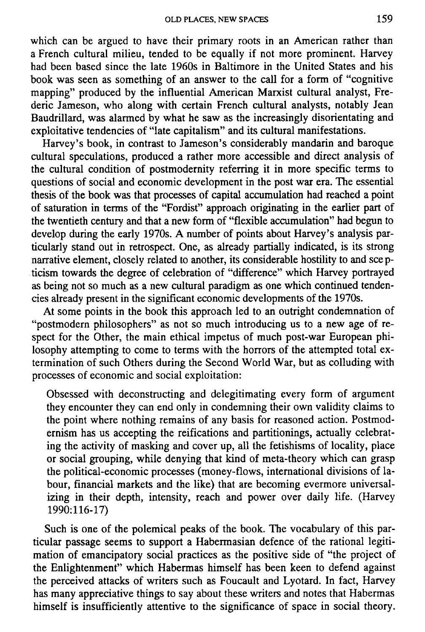which can be argued to have their primary roots in an American rather than a French cultural milieu, tended to be equally if not more prominent. Harvey had been based since the late 1960s in Baltimore in the United States and his book was seen as something of an answer to the call for a form of "cognitive mapping" produced by the influential American Marxist cultural analyst, Frederic Jameson, who along with certain French cultural analysts, notably Jean Baudrillard, was alarmed by what he saw as the increasingly disorientating and exploitative tendencies of "late capitalism" and its cultural manifestations.

Harvey's book, in contrast to Jameson's considerably mandarin and baroque cultural speculations, produced a rather more accessible and direct analysis of the cultural condition of postmodernity referring it in more specific terms to questions of social and economic development in the post war era. The essential thesis of the book was that processes of capital accumulation had reached a point of saturation in terms of the "Fordist" approach originating in the earlier part of the twentieth century and that a new form of "flexible accumulation" had begun to develop during the early 1970s. A number of points about Harvey's analysis particularly stand out in retrospect. One, as already partially indicated, is its strong narrative element, closely related to another, its considerable hostility to and scepticism towards the degree of celebration of "difference" which Harvey portrayed as being not so much as a new cultural paradigm as one which continued tendencies already present in the significant economic developments of the 1970s.

At some points in the book this approach led to an outright condemnation of "postmodern philosophers" as not so much introducing us to a new age of respect for the Other, the main ethical impetus of much post-war European philosophy attempting to come to terms with the horrors of the attempted total extermination of such Others during the Second World War, but as colluding with processes of economic and social exploitation:

Obsessed with deconstructing and delegitimating every form of argument they encounter they can end only in condemning their own validity claims to the point where nothing remains of any basis for reasoned action. Postmodernism has us accepting the reifications and partitionings, actually celebrating the activity of masking and cover up, all the fetishisms of locality, place or social grouping, while denying that kind of meta-theory which can grasp the political-economic processes (money-flows, international divisions of labour, financial markets and the like) that are becoming evermore universalizing in their depth, intensity, reach and power over daily life. (Harvey 1990:116-17)

Such is one of the polemical peaks of the book. The vocabulary of this particular passage seems to support a Habermasian defence of the rational legitimation of emancipatory social practices as the positive side of "the project of the Enlightenment" which Habermas himself has been keen to defend against the perceived attacks of writers such as Foucault and Lyotard. In fact, Harvey has many appreciative things to say about these writers and notes that Habermas himself is insufficiently attentive to the significance of space in social theory.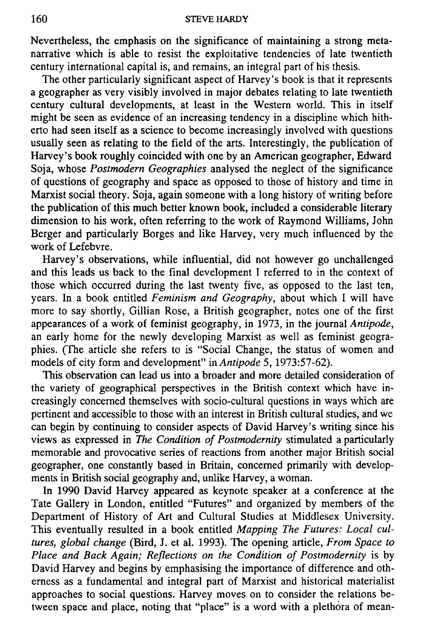Nevertheless, the emphasis on the significance of maintaining a strong metanarrative which is able to resist the exploitative tendencies of late twentieth century international capital is, and remains, an integral part of his thesis.

The other particularly significant aspect of Harvey's book is that it represents a geographer as very visibly involved in major debates relating to late twentieth century cultural developments, at least in the Western world. This in itself might be seen as evidence of an increasing tendency in a discipline which hitherto had seen itself as a science to become increasingly involved with questions usually seen as relating to the field of the arts. Interestingly, the publication of Harvey's book roughly coincided with one by an American geographer, Edward Soja, whose *Postmodern Geographies* analysed the neglect of the significance of questions of geography and space as opposed to those of history and time in Marxist social theory. Soja, again someone with a long history of writing before the publication of this much better known book, included a considerable literary dimension to his work, often referring to the work of Raymond Williams, John Berger and particularly Borges and like Harvey, very much influenced by the work of Lefebvre.

Harvey's observations, while influential, did not however go unchallenged and this leads us back to the final development I referred to in the context of those which occurred during the last twenty five, as opposed to the last ten, years. In a book entitled *Feminism and Geography,* about which I will have more to say shortly, Gillian Rose, a British geographer, notes one of the first appearances of a work of feminist geography, in 1973, in the journal *Antipode,*  an early home for the newly developing Marxist as well as feminist geographies. (The article she refers to is "Social Change, the status of women and models of city form and development" *in Antipode* 5,1973:57-62).

This observation can lead us into a broader and more detailed consideration of the variety of geographical perspectives in the British context which have increasingly concerned themselves with socio-cultural questions in ways which are pertinent and accessible to those with an interest in British cultural studies, and we can begin by continuing to consider aspects of David Harvey's writing since his views as expressed in *The Condition of Postmodernity* stimulated a particularly memorable and provocative series of reactions from another major British social geographer, one constantly based in Britain, concerned primarily with developments in British social geography and, unlike Harvey, a woman.

In 1990 David Harvey appeared as keynote speaker at a conference at the Tate Gallery in London, entitled "Futures" and organized by members of the Department of History of Art and Cultural Studies at Middlesex University. This eventually resulted in a book entitled *Mapping The Futures: Local cultures, global change* (Bird, J. et al. 1993). The opening article, *From Space to Place and Back Again; Reflections on the Condition of Postmodernity* is by David Harvey and begins by emphasising the importance of difference and otherness as a fundamental and integral part of Marxist and historical materialist approaches to social questions. Harvey moves on to consider the relations between space and place, noting that "place" is a word with a plethora of mean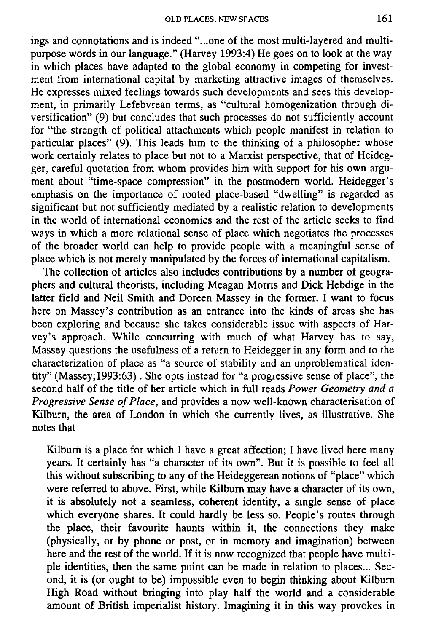ings and connotations and is indeed "...one of the most multi-layered and multipurpose words in our language." (Harvey 1993:4) He goes on to look at the way in which places have adapted to the global economy in competing for investment from international capital by marketing attractive images of themselves. He expresses mixed feelings towards such developments and sees this development, in primarily Lefebvrean terms, as "cultural homogenization through diversification" (9) but concludes that such processes do not sufficiently account for "the strength of political attachments which people manifest in relation to particular places" (9). This leads him to the thinking of a philosopher whose work certainly relates to place but not to a Marxist perspective, that of Heidegger, careful quotation from whom provides him with support for his own argument about "time-space compression" in the postmodern world. Heidegger's emphasis on the importance of rooted place-based "dwelling" is regarded as significant but not sufficiently mediated by a realistic relation to developments in the world of international economics and the rest of the article seeks to find ways in which a more relational sense of place which negotiates the processes of the broader world can help to provide people with a meaningful sense of place which is not merely manipulated by the forces of international capitalism.

The collection of articles also includes contributions by a number of geographers and cultural theorists, including Meagan Morris and Dick Hebdige in the latter field and Neil Smith and Doreen Massey in the former. I want to focus here on Massey's contribution as an entrance into the kinds of areas she has been exploring and because she takes considerable issue with aspects of Harvey's approach. While concurring with much of what Harvey has to say, Massey questions the usefulness of a return to Heidegger in any form and to the characterization of place as "a source of stability and an unproblematical identity" (Massey;1993:63). She opts instead for "a progressive sense of place", the second half of the title of her article which in full reads *Power Geometry and a Progressive Sense of Place,* and provides a now well-known characterisation of Kilburn, the area of London in which she currently lives, as illustrative. She notes that

Kilburn is a place for which I have a great affection; I have lived here many years. It certainly has "a character of its own". But it is possible to feel all this without subscribing to any of the Heideggerean notions of "place" which were referred to above. First, while Kilburn may have a character of its own, it is absolutely not a seamless, coherent identity, a single sense of place which everyone shares. It could hardly be less so. People's routes through the place, their favourite haunts within it, the connections they make (physically, or by phone or post, or in memory and imagination) between here and the rest of the world. If it is now recognized that people have multiple identities, then the same point can be made in relation to places... Second, it is (or ought to be) impossible even to begin thinking about Kilburn High Road without bringing into play half the world and a considerable amount of British imperialist history. Imagining it in this way provokes in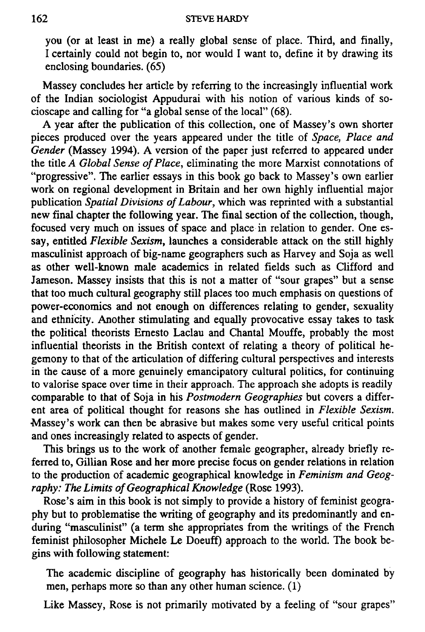you (or at least in me) a really global sense of place. Third, and finally, I certainly could not begin to, nor would I want to, define it by drawing its enclosing boundaries. (65)

Massey concludes her article by referring to the increasingly influential work of the Indian sociologist Appudurai with his notion of various kinds of socioscape and calling for "a global sense of the local" (68).

A year after the publication of this collection, one of Massey's own shorter pieces produced over the years appeared under the title of *Space, Place and Gender* (Massey 1994). A version of the paper just referred to appeared under the title A *Global Sense of Place,* eliminating the more Marxist connotations of "progressive". The earlier essays in this book go back to Massey's own earlier work on regional development in Britain and her own highly influential major publication *Spatial Divisions of Labour,* which was reprinted with a substantial new final chapter the following year. The final section of the collection, though, focused very much on issues of space and place in relation to gender. One essay, entitled *Flexible Sexism,* launches a considerable attack on the still highly masculinist approach of big-name geographers such as Harvey and Soja as well as other well-known male academics in related fields such as Clifford and Jameson. Massey insists that this is not a matter of "sour grapes" but a sense that too much cultural geography still places too much emphasis on questions of power-economics and not enough on differences relating to gender, sexuality and ethnicity. Another stimulating and equally provocative essay takes to task the political theorists Ernesto Laclau and Chantal Mouffe, probably the most influential theorists in the British context of relating a theory of political hegemony to that of the articulation of differing cultural perspectives and interests in the cause of a more genuinely emancipatory cultural politics, for continuing to valorise space over time in their approach. The approach she adopts is readily comparable to that of Soja in his *Postmodern Geographies* but covers a different area of political thought for reasons she has outlined in *Flexible Sexism.*  Massey's work can then be abrasive but makes some very useful critical points and ones increasingly related to aspects of gender.

This brings us to the work of another female geographer, already briefly referred to, Gillian Rose and her more precise focus on gender relations in relation to the production of academic geographical knowledge in *Feminism and Geography: The Limits of Geographical Knowledge* (Rose 1993).

Rose's aim in this book is not simply to provide a history of feminist geography but to problematise the writing of geography and its predominantly and enduring "masculinist" (a term she appropriates from the writings of the French feminist philosopher Michele Le Doeuff) approach to the world. The book begins with following statement:

The academic discipline of geography has historically been dominated by men, perhaps more so than any other human science. (1)

Like Massey, Rose is not primarily motivated by a feeling of "sour grapes"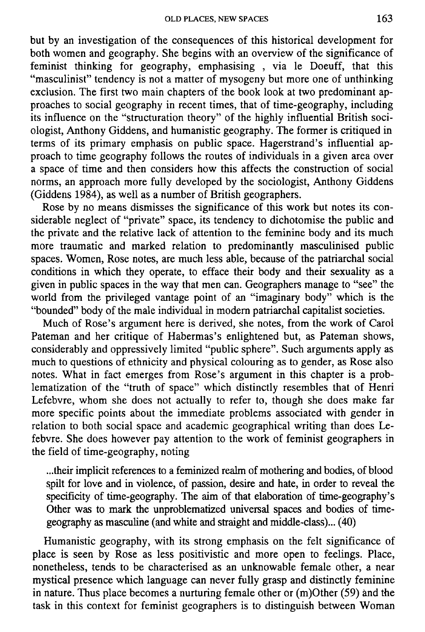but by an investigation of the consequences of this historical development for both women and geography. She begins with an overview of the significance of feminist thinking for geography, emphasising , via le Doeuff, that this "masculinist" tendency is not a matter of mysogeny but more one of unthinking exclusion. The first two main chapters of the book look at two predominant approaches to social geography in recent times, that of time-geography, including its influence on the "structuration theory" of the highly influential British sociologist, Anthony Giddens, and humanistic geography. The former is critiqued in terms of its primary emphasis on public space. Hagerstrand's influential approach to time geography follows the routes of individuals in a given area over a space of time and then considers how this affects the construction of social norms, an approach more fully developed by the sociologist, Anthony Giddens (Giddens 1984), as well as a number of British geographers.

Rose by no means dismisses the significance of this work but notes its considerable neglect of "private" space, its tendency to dichotomise the public and the private and the relative lack of attention to the feminine body and its much more traumatic and marked relation to predominantly masculinised public spaces. Women, Rose notes, are much less able, because of the patriarchal social conditions in which they operate, to efface their body and their sexuality as a given in public spaces in the way that men can. Geographers manage to "see" the world from the privileged vantage point of an "imaginary body" which is the "bounded" body of the male individual in modem patriarchal capitalist societies.

Much of Rose's argument here is derived, she notes, from the work of Carol Pateman and her critique of Habermas's enlightened but, as Pateman shows, considerably and oppressively limited "public sphere". Such arguments apply as much to questions of ethnicity and physical colouring as to gender, as Rose also notes. What in fact emerges from Rose's argument in this chapter is a problematization of the "truth of space" which distinctly resembles that of Henri Lefebvre, whom she does not actually to refer to, though she does make far more specific points about the immediate problems associated with gender in relation to both social space and academic geographical writing than does Lefebvre. She does however pay attention to the work of feminist geographers in the field of time-geography, noting

...their implicit references to a feminized realm of mothering and bodies, of blood spilt for love and in violence, of passion, desire and hate, in order to reveal the specificity of time-geography. The aim of that elaboration of time-geography's Other was to mark the unproblematized universal spaces and bodies of timegeography as masculine (and white and straight and middle-class)... (40)

Humanistic geography, with its strong emphasis on the felt significance of place is seen by Rose as less positivistic and more open to feelings. Place, nonetheless, tends to be characterised as an unknowable female other, a near mystical presence which language can never fully grasp and distinctly feminine in nature. Thus place becomes a nurturing female other or (m)Other (59) and the task in this context for feminist geographers is to distinguish between Woman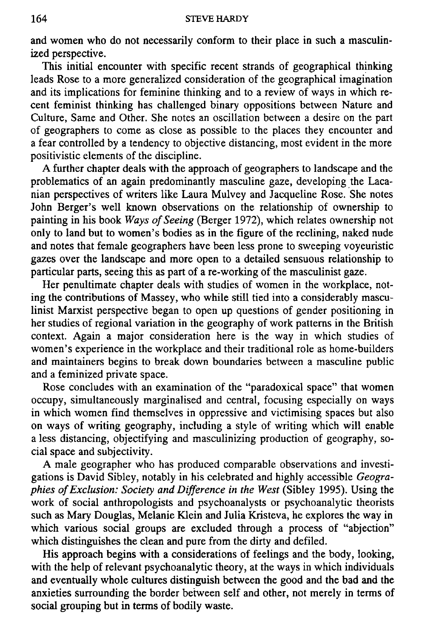and women who do not necessarily conform to their place in such a masculinized perspective.

This initial encounter with specific recent strands of geographical thinking leads Rose to a more generalized consideration of the geographical imagination and its implications for feminine thinking and to a review of ways in which recent feminist thinking has challenged binary oppositions between Nature and Culture, Same and Other. She notes an oscillation between a desire on the part of geographers to come as close as possible to the places they encounter and a fear controlled by a tendency to objective distancing, most evident in the more positivistic elements of the discipline.

A further chapter deals with the approach of geographers to landscape and the problematics of an again predominantly masculine gaze, developing the Lacanian perspectives of writers like Laura Mulvey and Jacqueline Rose. She notes John Berger's well known observations on the relationship of ownership to painting in his book *Ways of Seeing* (Berger 1972), which relates ownership not only to land but to women's bodies as in the figure of the reclining, naked nude and notes that female geographers have been less prone to sweeping voyeuristic gazes over the landscape and more open to a detailed sensuous relationship to particular parts, seeing this as part of a re-working of the masculinist gaze.

Her penultimate chapter deals with studies of women in the workplace, noting the contributions of Massey, who while still tied into a considerably masculinist Marxist perspective began to open up questions of gender positioning in her studies of regional variation in the geography of work patterns in the British context. Again a major consideration here is the way in which studies of women's experience in the workplace and their traditional role as home-builders and maintainers begins to break down boundaries between a masculine public and a feminized private space.

Rose concludes with an examination of the "paradoxical space" that women occupy, simultaneously marginalised and central, focusing especially on ways in which women find themselves in oppressive and victimising spaces but also on ways of writing geography, including a style of writing which will enable a less distancing, objectifying and masculinizing production of geography, social space and subjectivity.

A male geographer who has produced comparable observations and investigations is David Sibley, notably in his celebrated and highly accessible *Geographies of Exclusion: Society and Difference in the West* (Sibley 1995). Using the work of social anthropologists and psychoanalysts or psychoanalytic theorists such as Mary Douglas, Melanie Klein and Julia Kristeva, he explores the way in which various social groups are excluded through a process of "abjection" which distinguishes the clean and pure from the dirty and defiled.

His approach begins with a considerations of feelings and the body, looking, with the help of relevant psychoanalytic theory, at the ways in which individuals and eventually whole cultures distinguish between the good and the bad and the anxieties surrounding the border between self and other, not merely in terms of social grouping but in terms of bodily waste.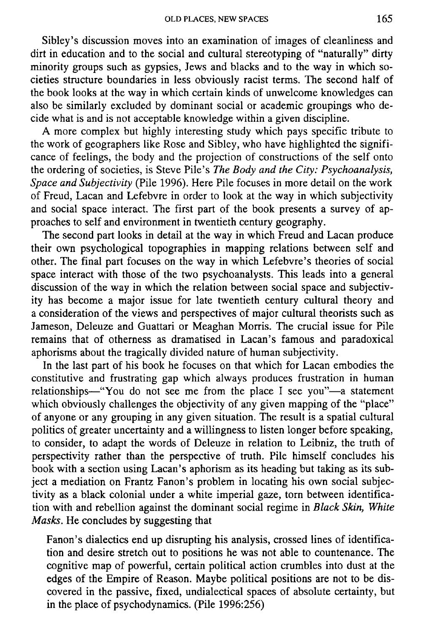Sibley's discussion moves into an examination of images of cleanliness and dirt in education and to the social and cultural stereotyping of "naturally" dirty minority groups such as gypsies, Jews and blacks and to the way in which societies structure boundaries in less obviously racist terms. The second half of the book looks at the way in which certain kinds of unwelcome knowledges can also be similarly excluded by dominant social or academic groupings who decide what is and is not acceptable knowledge within a given discipline.

A more complex but highly interesting study which pays specific tribute to the work of geographers like Rose and Sibley, who have highlighted the significance of feelings, the body and the projection of constructions of the self onto the ordering of societies, is Steve Pile's *The Body and the City: Psychoanalysis, Space and Subjectivity* (Pile 1996). Here Pile focuses in more detail on the work of Freud, Lacan and Lefebvre in order to look at the way in which subjectivity and social space interact. The first part of the book presents a survey of approaches to self and environment in twentieth century geography.

The second part looks in detail at the way in which Freud and Lacan produce their own psychological topographies in mapping relations between self and other. The final part focuses on the way in which Lefebvre's theories of social space interact with those of the two psychoanalysts. This leads into a general discussion of the way in which the relation between social space and subjectivity has become a major issue for late twentieth century cultural theory and a consideration of the views and perspectives of major cultural theorists such as Jameson, Deleuze and Guattari or Meaghan Morris. The crucial issue for Pile remains that of otherness as dramatised in Lacan's famous and paradoxical aphorisms about the tragically divided nature of human subjectivity.

In the last part of his book he focuses on that which for Lacan embodies the constitutive and frustrating gap which always produces frustration in human relationships—"You do not see me from the place I see you"—a statement which obviously challenges the objectivity of any given mapping of the "place" of anyone or any grouping in any given situation. The result is a spatial cultural politics of greater uncertainty and a willingness to listen longer before speaking, to consider, to adapt the words of Deleuze in relation to Leibniz, the truth of perspectivity rather than the perspective of truth. Pile himself concludes his book with a section using Lacan's aphorism as its heading but taking as its subject a mediation on Frantz Fanon's problem in locating his own social subjectivity as a black colonial under a white imperial gaze, torn between identification with and rebellion against the dominant social regime in *Black Skin, White Masks.* He concludes by suggesting that

Fanon's dialectics end up disrupting his analysis, crossed lines of identification and desire stretch out to positions he was not able to countenance. The cognitive map of powerful, certain political action crumbles into dust at the edges of the Empire of Reason. Maybe political positions are not to be discovered in the passive, fixed, undialectical spaces of absolute certainty, but in the place of psychodynamics. (Pile  $1996:256$ )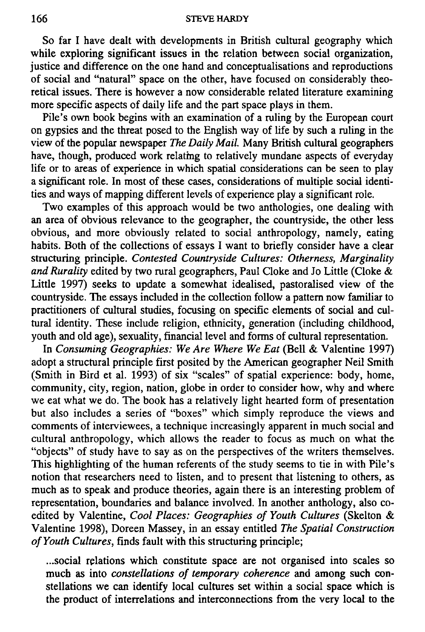So far I have dealt with developments in British cultural geography which while exploring significant issues in the relation between social organization, justice and difference on the one hand and conceptualisations and reproductions of social and "natural" space on the other, have focused on considerably theoretical issues. There is however a now considerable related literature examining more specific aspects of daily life and the part space plays in them.

Pile's own book begins with an examination of a ruling by the European court on gypsies and the threat posed to the English way of life by such a ruling in the view of the popular newspaper *The Daily Mail.* Many British cultural geographers have, though, produced work relating to relatively mundane aspects of everyday life or to areas of experience in which spatial considerations can be seen to play a significant role. In most of these cases, considerations of multiple social identities and ways of mapping different levels of experience play a significant role.

Two examples of this approach would be two anthologies, one dealing with an area of obvious relevance to the geographer, the countryside, the other less obvious, and more obviously related to social anthropology, namely, eating habits. Both of the collections of essays I want to briefly consider have a clear structuring principle. *Contested Countryside Cultures: Otherness, Marginality and Rurality* edited by two rural geographers, Paul Cloke and Jo Little (Cloke & Little 1997) seeks to update a somewhat idealised, pastoralised view of the countryside. The essays included in the collection follow a pattern now familiar to practitioners of cultural studies, focusing on specific elements of social and cultural identity. These include religion, ethnicity, generation (including childhood, youth and old age), sexuality, financial level and forms of cultural representation.

In *Consuming Geographies: We Are Where We Eat* (Bell & Valentine 1997) adopt a structural principle first posited by the American geographer Neil Smith (Smith in Bird et al. 1993) of six "scales" of spatial experience: body, home, community, city, region, nation, globe in order to consider how, why and where we eat what we do. The book has a relatively light hearted form of presentation but also includes a series of "boxes" which simply reproduce the views and comments of interviewees, a technique increasingly apparent in much social and cultural anthropology, which allows the reader to focus as much on what the "objects" of study have to say as on the perspectives of the writers themselves. This highlighting of the human referents of the study seems to tie in with Pile's notion that researchers need to listen, and to present that listening to others, as much as to speak and produce theories, again there is an interesting problem of representation, boundaries and balance involved. In another anthology, also coedited by Valentine, *Cool Places: Geographies of Youth Cultures* (Skelton & Valentine 1998), Doreen Massey, in an essay entitled *The Spatial Construction of Youth Cultures,* finds fault with this structuring principle;

...social relations which constitute space are not organised into scales so much as into *constellations of temporary coherence* and among such constellations we can identify local cultures set within a social space which is the product of interrelations and interconnections from the very local to the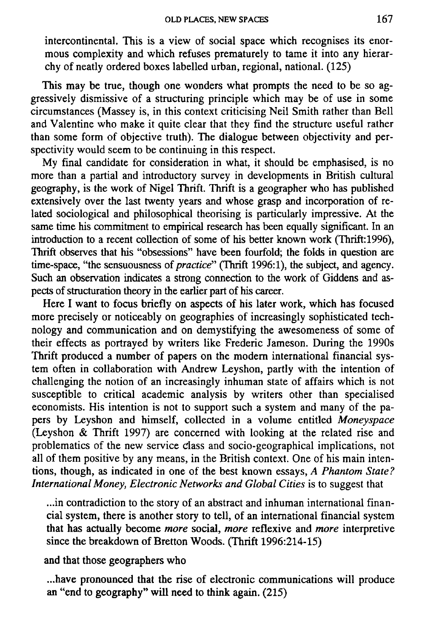intercontinental. This is a view of social space which recognises its enormous complexity and which refuses prematurely to tame it into any hierarchy of neatly ordered boxes labelled urban, regional, national. (125)

This may be true, though one wonders what prompts the need to be so aggressively dismissive of a structuring principle which may be of use in some circumstances (Massey is, in this context criticising Neil Smith rather than Bell and Valentine who make it quite clear that they find the structure useful rather than some form of objective truth). The dialogue between objectivity and perspectivity would seem to be continuing in this respect.

My final candidate for consideration in what, it should be emphasised, is no more than a partial and introductory survey in developments in British cultural geography, is the work of Nigel Thrift. Thrift is a geographer who has published extensively over the last twenty years and whose grasp and incorporation of related sociological and philosophical theorising is particularly impressive. At the same time his commitment to empirical research has been equally significant. In an introduction to a recent collection of some of his better known work (Thrift: 1996), Thrift observes that his "obsessions" have been fourfold; the folds in question are time-space, "the sensuousness of *practice"* (Thrift 1996:1), the subject, and agency. Such an observation indicates a strong connection to the work of Giddens and aspects of structuration theory in the earlier part of his career.

Here I want to focus briefly on aspects of his later work, which has focused more precisely or noticeably on geographies of increasingly sophisticated technology and communication and on demystifying the awesomeness of some of their effects as portrayed by writers like Frederic Jameson. During the 1990s Thrift produced a number of papers on the modern international financial system often in collaboration with Andrew Leyshon, partly with the intention of challenging the notion of an increasingly inhuman state of affairs which is not susceptible to critical academic analysis by writers other than specialised economists. His intention is not to support such a system and many of the papers by Leyshon and himself, collected in a volume entitled *Moneyspace*  (Leyshon & Thrift 1997) are concerned with looking at the related rise and problematics of the new service Class and socio-geographical implications, not all of them positive by any means, in the British context. One of his main intentions, though, as indicated in one of the best known essays, *A Phantom State? International Money, Electronic Networks and Global Cities* is to suggest that

...in contradiction to the story of an abstract and inhuman international financial system, there is another story to tell, of an international financial system that has actually become *more* social, *more* reflexive and *more* interpretive since the breakdown of Bretton Woods. (Thrift 1996:214-15)

and that those geographers who

...have pronounced that the rise of electronic communications will produce an "end to geography" will need to think again. (215)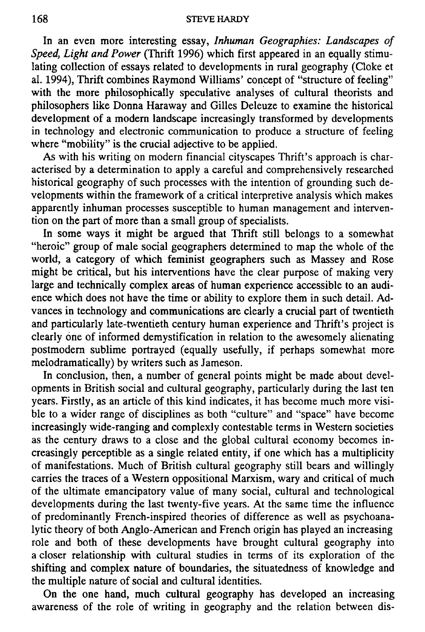In an even more interesting essay, *Inhuman Geographies: Landscapes of Speed, Light and Power* (Thrift 1996) which first appeared in an equally stimulating collection of essays related to developments in rural geography (Cloke et al. 1994), Thrift combines Raymond Williams' concept of "structure of feeling" with the more philosophically speculative analyses of cultural theorists and philosophers like Donna Haraway and Gilles Deleuze to examine the historical development of a modem landscape increasingly transformed by developments in technology and electronic communication to produce a structure of feeling where "mobility" is the crucial adjective to be applied.

As with his writing on modern financial cityscapes Thrift's approach is characterised by a determination to apply a careful and comprehensively researched historical geography of such processes with the intention of grounding such developments within the framework of a critical interpretive analysis which makes apparently inhuman processes susceptible to human management and intervention on the part of more than a small group of specialists.

In some ways it might be argued that Thrift still belongs to a somewhat "heroic" group of male social geographers determined to map the whole of the world, a category of which feminist geographers such as Massey and Rose might be critical, but his interventions have the clear purpose of making very large and technically complex areas of human experience accessible to an audience which does not have the time or ability to explore them in such detail. Advances in technology and communications are clearly a crucial part of twentieth and particularly late-twentieth century human experience and Thrift's project is clearly one of informed demystification in relation to the awesomely alienating postmodern sublime portrayed (equally usefully, if perhaps somewhat more melodramatically) by writers such as Jameson.

In conclusion, then, a number of general points might be made about developments in British social and cultural geography, particularly during the last ten years. Firstly, as an article of this kind indicates, it has become much more visible to a wider range of disciplines as both "culture" and "space" have become increasingly wide-ranging and complexly contestable terms in Western societies as the century draws to a close and the global cultural economy becomes increasingly perceptible as a single related entity, if one which has a multiplicity of manifestations. Much of British cultural geography still bears and willingly carries the traces of a Western oppositional Marxism, wary and critical of much of the ultimate emancipatory value of many social, cultural and technological developments during the last twenty-five years. At the same time the influence of predominantly French-inspired theories of difference as well as psychoanalytic theory of both Anglo-American and French origin has played an increasing role and both of these developments have brought cultural geography into a closer relationship with cultural studies in terms of its exploration of the shifting and complex nature of boundaries, the situatedness of knowledge and the multiple nature of social and cultural identities.

On the one hand, much cultural geography has developed an increasing awareness of the role of writing in geography and the relation between dis